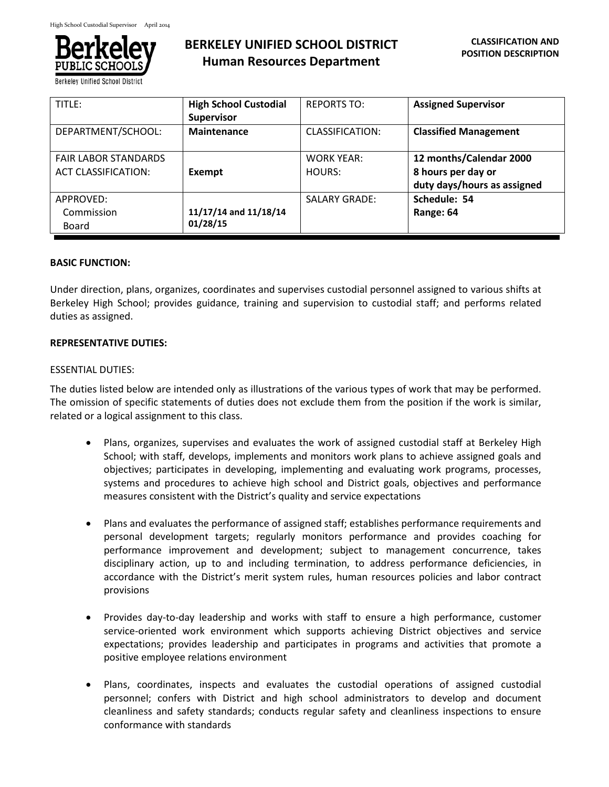

**Berkeley Unified School Dist** 

# **BERKELEY UNIFIED SCHOOL DISTRICT Human Resources Department**

| TITLE:                                                    | <b>High School Custodial</b><br><b>Supervisor</b> | <b>REPORTS TO:</b>          | <b>Assigned Supervisor</b>                                                   |
|-----------------------------------------------------------|---------------------------------------------------|-----------------------------|------------------------------------------------------------------------------|
| DEPARTMENT/SCHOOL:                                        | <b>Maintenance</b>                                | CLASSIFICATION:             | <b>Classified Management</b>                                                 |
| <b>FAIR LABOR STANDARDS</b><br><b>ACT CLASSIFICATION:</b> | Exempt                                            | <b>WORK YEAR:</b><br>HOURS: | 12 months/Calendar 2000<br>8 hours per day or<br>duty days/hours as assigned |
| APPROVED:<br>Commission<br>Board                          | 11/17/14 and 11/18/14<br>01/28/15                 | <b>SALARY GRADE:</b>        | Schedule: 54<br>Range: 64                                                    |

#### **BASIC FUNCTION:**

Under direction, plans, organizes, coordinates and supervises custodial personnel assigned to various shifts at Berkeley High School; provides guidance, training and supervision to custodial staff; and performs related duties as assigned.

#### **REPRESENTATIVE DUTIES:**

#### ESSENTIAL DUTIES:

The duties listed below are intended only as illustrations of the various types of work that may be performed. The omission of specific statements of duties does not exclude them from the position if the work is similar, related or a logical assignment to this class.

- Plans, organizes, supervises and evaluates the work of assigned custodial staff at Berkeley High School; with staff, develops, implements and monitors work plans to achieve assigned goals and objectives; participates in developing, implementing and evaluating work programs, processes, systems and procedures to achieve high school and District goals, objectives and performance measures consistent with the District's quality and service expectations
- Plans and evaluates the performance of assigned staff; establishes performance requirements and personal development targets; regularly monitors performance and provides coaching for performance improvement and development; subject to management concurrence, takes disciplinary action, up to and including termination, to address performance deficiencies, in accordance with the District's merit system rules, human resources policies and labor contract provisions
- Provides day-to-day leadership and works with staff to ensure a high performance, customer service-oriented work environment which supports achieving District objectives and service expectations; provides leadership and participates in programs and activities that promote a positive employee relations environment
- Plans, coordinates, inspects and evaluates the custodial operations of assigned custodial personnel; confers with District and high school administrators to develop and document cleanliness and safety standards; conducts regular safety and cleanliness inspections to ensure conformance with standards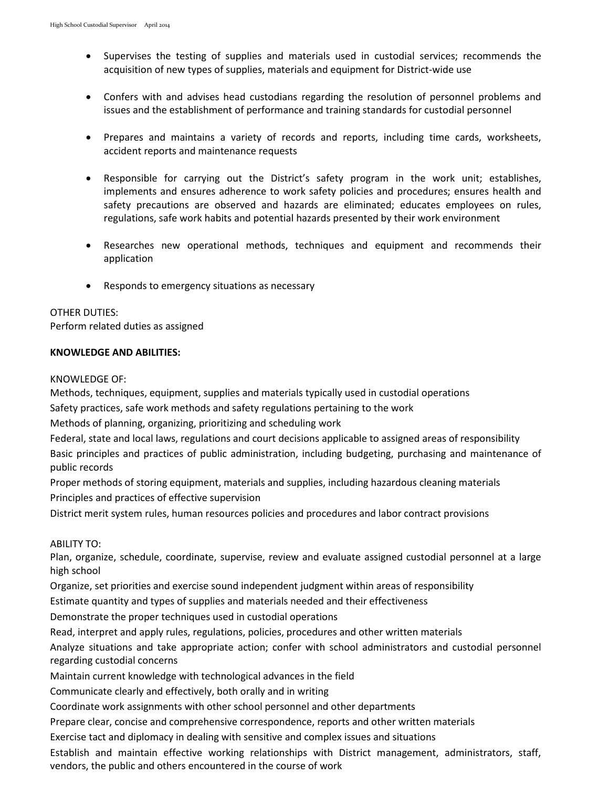- Supervises the testing of supplies and materials used in custodial services; recommends the acquisition of new types of supplies, materials and equipment for District-wide use
- Confers with and advises head custodians regarding the resolution of personnel problems and issues and the establishment of performance and training standards for custodial personnel
- Prepares and maintains a variety of records and reports, including time cards, worksheets, accident reports and maintenance requests
- Responsible for carrying out the District's safety program in the work unit; establishes, implements and ensures adherence to work safety policies and procedures; ensures health and safety precautions are observed and hazards are eliminated; educates employees on rules, regulations, safe work habits and potential hazards presented by their work environment
- Researches new operational methods, techniques and equipment and recommends their application
- Responds to emergency situations as necessary

## OTHER DUTIES:

Perform related duties as assigned

## **KNOWLEDGE AND ABILITIES:**

#### KNOWLEDGE OF:

Methods, techniques, equipment, supplies and materials typically used in custodial operations

Safety practices, safe work methods and safety regulations pertaining to the work

Methods of planning, organizing, prioritizing and scheduling work

Federal, state and local laws, regulations and court decisions applicable to assigned areas of responsibility Basic principles and practices of public administration, including budgeting, purchasing and maintenance of public records

Proper methods of storing equipment, materials and supplies, including hazardous cleaning materials

Principles and practices of effective supervision

District merit system rules, human resources policies and procedures and labor contract provisions

## ABILITY TO:

Plan, organize, schedule, coordinate, supervise, review and evaluate assigned custodial personnel at a large high school

Organize, set priorities and exercise sound independent judgment within areas of responsibility

Estimate quantity and types of supplies and materials needed and their effectiveness

Demonstrate the proper techniques used in custodial operations

Read, interpret and apply rules, regulations, policies, procedures and other written materials

Analyze situations and take appropriate action; confer with school administrators and custodial personnel regarding custodial concerns

Maintain current knowledge with technological advances in the field

Communicate clearly and effectively, both orally and in writing

Coordinate work assignments with other school personnel and other departments

Prepare clear, concise and comprehensive correspondence, reports and other written materials

Exercise tact and diplomacy in dealing with sensitive and complex issues and situations

Establish and maintain effective working relationships with District management, administrators, staff, vendors, the public and others encountered in the course of work